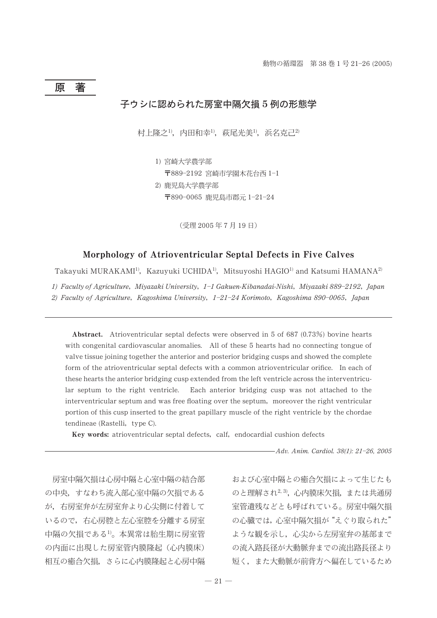# 原著

# 子ウシに認められた房室中隔欠損5例の形態学

村上隆之<sup>1)</sup>,内田和幸<sup>1)</sup>,萩尾光美<sup>1)</sup>,浜名克己<sup>2)</sup>

1) 宮崎大学農学部

〒889-2192 宮崎市学園木花台西 1-1

2) 鹿児島大学農学部 〒890-0065 鹿児島市郡元 1-21-24

(受理 2005年7月19日)

## Morphology of Atrioventricular Septal Defects in Five Calves

Takayuki MURAKAMI<sup>1)</sup>, Kazuyuki UCHIDA<sup>1)</sup>, Mitsuyoshi HAGIO<sup>1)</sup> and Katsumi HAMANA<sup>2)</sup>

1) Faculty of Agriculture, Miyazaki University, 1-1 Gakuen-Kibanadai-Nishi, Miyazaki 889-2192, Japan 2) Faculty of Agriculture, Kagoshima University,  $1-21-24$  Korimoto, Kagoshima 890-0065, Japan

Abstract. Atrioventricular septal defects were observed in 5 of 687  $(0.73%)$  bovine hearts with congenital cardiovascular anomalies. All of these 5 hearts had no connecting tongue of valve tissue joining together the anterior and posterior bridging cusps and showed the complete form of the atrioventricular septal defects with a common atrioventricular orifice. In each of these hearts the anterior bridging cusp extended from the left ventricle across the interventricular septum to the right ventricle. Each anterior bridging cusp was not attached to the interventricular septum and was free floating over the septum, moreover the right ventricular portion of this cusp inserted to the great papillary muscle of the right ventricle by the chordae tendineae (Rastelli, type C).

Key words: atrioventricular septal defects, calf, endocardial cushion defects

- Adv. Anim. Cardiol. 38(1): 21-26, 2005

房室中隔欠損は心房中隔と心室中隔の結合部 の中央、すなわち流入部心室中隔の欠損である が、右房室弁が左房室弁より心尖側に付着して いるので、右心房腔と左心室腔を分離する房室 中隔の欠損である<sup>1)</sup>。本異常は胎生期に房室管 の内面に出現した房室管内膜降起(心内膜床) 相互の癒合欠損、さらに心内膜隆起と心房中隔 および心室中隔との癒合欠損によって生じたも のと理解され<sup>2, 3)</sup>, 心内膜床欠損, または共通房 室管遺残などとも呼ばれている。房室中隔欠損 の心臓では、心室中隔欠指が"えぐり取られた" ような観を示し、心尖から左房室弁の基部まで の流入路長径が大動脈弁までの流出路長径より 短く、また大動脈が前背方へ偏在しているため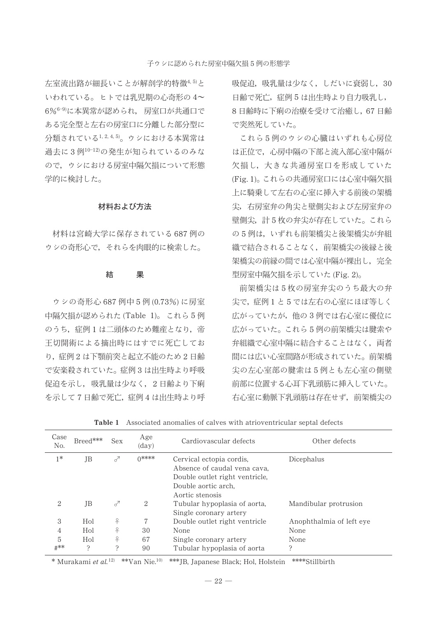左室流出路が細長いことが解剖学的特徴4,5と いわれている。ヒトでは乳児期の心奇形の4~ 6%6-9)に本異常が認められ、房室口が共通口で ある完全型と左右の房室口に分離した部分型に 分類されている1,2,4,5)。ウシにおける本異常は 過去に3例10-12)の発生が知られているのみな ので、ウシにおける房室中隔欠損について形態 学的に検討した。

## 材料および方法

材料は宮崎大学に保存されている687例の ウシの奇形心で、それらを肉眼的に検索した。

#### 結 果

ウシの奇形心 687 例中5例 (0.73%)に房室 中隔欠損が認められた(Table 1)。これら5例 のうち、症例1は二頭体のため難産となり、帝 王切開術による摘出時にはすでに死亡してお り、症例2は下顎前突と起立不能のため2日齢 で安楽殺されていた。症例3は出生時より呼吸 促迫を示し、吸乳量は少なく、2日齢より下痢 を示して7日齢で死亡、症例4は出生時より呼 吸促迫,吸乳量は少なく、しだいに衰弱し、30 日齢で死亡,症例5は出生時より自力吸乳し, 8日齢時に下痢の治療を受けて治癒し、67日齢 で突然死していた。

これら5例のウシの心臓はいずれも心房位 は正位で、心房中隔の下部と流入部心室中隔が 欠損し、大きな共通房室口を形成していた (Fig. 1)。これらの共通房室口には心室中隔欠椙 上に騎乗して左右の心室に挿入する前後の架橋 尖、右房室弁の角尖と壁側尖および左房室弁の 壁側尖, 計5枚の弁尖が存在していた。これら の5例は、いずれも前架橋尖と後架橋尖が弁組 織で結合されることなく、前架橋尖の後縁と後 架橋尖の前縁の間では心室中隔が裸出し、完全 型房室中隔欠損を示していた (Fig. 2)。

前架橋尖は5枚の房室弁尖のうち最大の弁 尖で,症例1と5では左右の心室にほぼ等しく 広がっていたが、他の3例では右心室に優位に 広がっていた。これら5例の前架橋尖は腱索や 弁組織で心室中隔に結合することはなく、両者 間には広い心室間路が形成されていた。前架橋 尖の左心室部の腱索は5例とも左心室の側壁 前部に位置する心耳下乳頭筋に挿入していた。 右心室に動脈下乳頭筋は存在せず、前架橋尖の

| Case<br>No. | Breed***  | Sex | Age<br>$(\text{day})$ | Cardiovascular defects                                                                                                               | Other defects            |
|-------------|-----------|-----|-----------------------|--------------------------------------------------------------------------------------------------------------------------------------|--------------------------|
| $1*$        | <b>JB</b> | 7   | 0****                 | Cervical ectopia cordis,<br>Absence of caudal vena cava.<br>Double outlet right ventricle.<br>Double aortic arch.<br>Aortic stenosis | Dicephalus               |
| 2           | JB        | ₫   | 2                     | Tubular hypoplasia of aorta,<br>Single coronary artery                                                                               | Mandibular protrusion    |
| 3           | Hol       | ♀   |                       | Double outlet right ventricle                                                                                                        | Anophthalmia of left eye |
| 4           | Hol       | ♀   | 30                    | None                                                                                                                                 | None                     |
| 5           | Hol       | ♀   | 67                    | Single coronary artery                                                                                                               | None                     |
| #**         | ς         | ς   | 90                    | Tubular hypoplasia of aorta                                                                                                          | ς                        |

Table 1 Associated anomalies of calves with atrioventricular septal defects

\* Murakami et al.<sup>12)</sup> \*\*Van Nie.<sup>10</sup> \*\*\*JB, Japanese Black; Hol, Holstein \*\*\*\*Stillbirth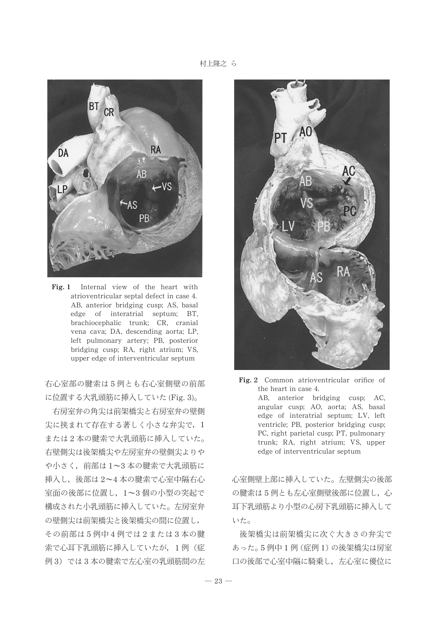村上隆之 ら



Fig. 1 Internal view of the heart with atrioventricular septal defect in case 4. AB, anterior bridging cusp; AS, basal edge of interatrial septum; BT, brachiocephalic trunk; CR, cranial vena cava; DA, descending aorta; LP, left pulmonary artery; PB, posterior bridging cusp; RA, right atrium; VS, upper edge of interventricular septum

右心室部の腱索は5例とも右心室側壁の前部 に位置する大乳頭筋に挿入していた (Fig. 3)。

右房室弁の角尖は前架橋尖と右房室弁の壁側 尖に挟まれて存在する著しく小さな弁尖で, 1 または2本の腱索で大乳頭筋に挿入していた。 右壁側尖は後架橋尖や左房室弁の壁側尖よりや や小さく、前部は1~3本の腱索で大乳頭筋に 挿入し,後部は 2~4 本の腱索で心室中隔右心 室面の後部に位置し、1~3個の小型の突起で 構成された小乳頭筋に挿入していた。左房室弁 の壁側尖は前架橋尖と後架橋尖の間に位置し, その前部は5例中4例では2または3本の腱 索で心耳下乳頭筋に挿入していたが,1例(症 例3) では3本の腱索で左心室の乳頭筋間の左



Fig. 2 Common atrioventricular orifice of the heart in case 4. AB, anterior bridging cusp; AC, angular cusp; AO, aorta; AS, basal edge of interatrial septum; LV, left ventricle; PB, posterior bridging cusp; PC, right parietal cusp; PT, pulmonary trunk; RA, right atrium; VS, upper edge of interventricular septum

心室側壁上部に挿入していた。左壁側尖の後部 の腱索は5例とも左心室側壁後部に位置し、心 耳下乳頭筋より小型の心房下乳頭筋に挿入して いた。

後架橋尖は前架橋尖に次ぐ大きさの弁尖で あった。5例中1例 (症例1)の後架橋尖は房室 口の後部で心室中隔に騎乗し、左心室に優位に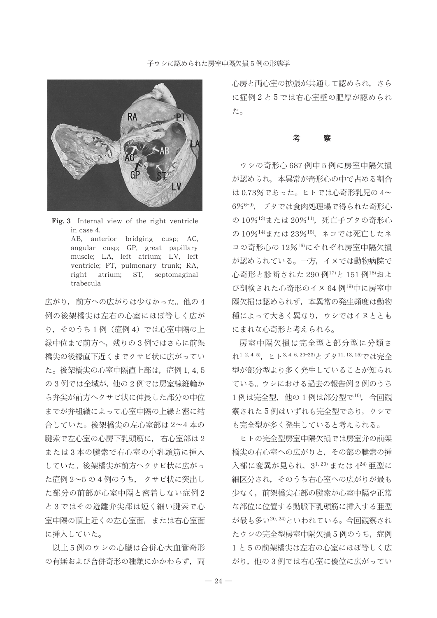## 子ゥシに認められた房室中隔欠損5例の形態学



Fig. 3 Internal view of the right ventricle in case 4. AB, anterior bridging cusp; AC, angular cusp; GP, great papillary muscle; LA, left atrium; LV, left ventricle; PT, pulmonary trunk; RA, right atrium; ST, septomaginal trabecula

広がり、前方への広がりは少なかった。他の4 例の後架橋尖は左右の心室にほぼ等しく広が り、そのうち1例 (症例4) では心室中隔の上 縁中位まで前方へ、残りの3例ではさらに前架 橋尖の後縁直下近くまでクサビ状に広がってい た。後架橋尖の心室中隔直上部は、症例 1, 4, 5 の3例では全域が、他の2例では房室線維輪か ら弁尖が前方へクサビ状に伸長した部分の中位 までが弁組織によって心室中隔の上縁と密に結 合していた。後架橋尖の左心室部は2~4本の 腱索で左心室の心房下乳頭筋に、 右心室部は2 または3本の腱索で右心室の小乳頭筋に挿入 していた。後架橋尖が前方へクサビ状に広がっ た症例 2~5 の 4 例のうち、 クサビ状に突出し た部分の前部が心室中隔と密着しない症例2 と3ではその遊離弁尖部は短く細い腱索で心 室中隔の頂上近くの左心室面、または右心室面 に挿入していた。

以上5例のウシの心臓は合併心大血管奇形 の有無および合併奇形の種類にかかわらず、両 心房と両心室の拡張が共通して認められ、さら に症例2と5では右心室壁の肥厚が認められ た。

#### 考 察

ウシの奇形心 687 例中5例に房室中隔欠損 が認められ、本異常が奇形心の中で占める割合 は0.73%であった。ヒトでは心奇形乳児の4~ 6%6-9), ブタでは食肉処理場で得られた奇形心 の10%13)または20%11), 死亡子ブタの奇形心 の10%14)または23%15), ネコでは死亡したネ コの奇形心の12%16)にそれぞれ房室中隔欠損 が認められている。一方、イヌでは動物病院で 心奇形と診断された 290 例17)と 151 例18)およ び剖検された心奇形のイヌ64例19中に房室中 隔欠損は認められず、本異常の発生頻度は動物 種によって大きく異なり、ウシではイヌととも にまれな心奇形と考えられる。

房室中隔欠損は完全型と部分型に分類さ れ1, 2, 4, 5) ヒト3, 4, 6, 20-23)とブタ11, 13, 15)では完全 型が部分型より多く発生していることが知られ ている。ウシにおける過去の報告例2例のうち 1例は完全型, 他の1例は部分型で10, 今回観 察された5例はいずれも完全型であり、ウシで も完全型が多く発生していると考えられる。

ヒトの完全型房室中隔欠指では房室弁の前架 橋尖の右心室への広がりと、その部の腱索の挿 入部に変異が見られ、31,20)または424)亜型に 細区分され、そのうち右心室への広がりが最も 少なく、前架橋尖右部の腱索が心室中隔や正常 な部位に位置する動脈下乳頭筋に挿入する亜型 が最も多い20,24)といわれている。今回観察され たウシの完全型房室中隔欠損5例のうち、症例 1と5の前架橋尖は左右の心室にほぼ等しく広 がり、他の3例では右心室に優位に広がってい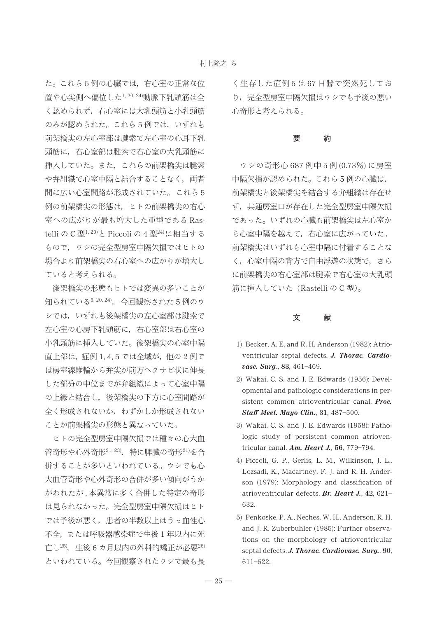た。これら5例の心臓では、右心室の正常な位 置や心尖側へ偏位した1,20,24)動脈下乳頭筋は全 く認められず、右心室には大乳頭筋と小乳頭筋 のみが認められた。これら5例では、いずれも 前架橋尖の左心室部は腱索で左心室の心耳下乳 頭筋に、右心室部は腱索で右心室の大乳頭筋に 挿入していた。また、これらの前架橋尖は腱索 や弁組織で心室中隔と結合することなく、両者 間に広い心室間路が形成されていた。これら5 例の前架橋尖の形態は、ヒトの前架橋尖の右心 室への広がりが最も増大した亜型である RastelliのC型<sup>1,20</sup>と Piccoliの4型<sup>24)</sup>に相当する もので、ウシの完全型房室中隔欠損ではヒトの 場合より前架橋尖の右心室への広がりが増大し ていると考えられる。

後架橋尖の形態もヒトでは変異の多いことが 知られている5,20,24)。今回観察された5例のウ シでは、いずれも後架橋尖の左心室部は腱索で 左心室の心房下乳頭筋に、右心室部は右心室の 小乳頭筋に挿入していた。後架橋尖の心室中隔 直上部は、症例1,4,5では全域が、他の2例で は房室線維輪から弁尖が前方へクサビ状に伸長 した部分の中位までが弁組織によって心室中隔 の上縁と結合し、後架橋尖の下方に心室間路が 全く形成されないか、わずかしか形成されない ことが前架橋尖の形態と異なっていた。

ヒトの完全型房室中隔欠損では種々の心大血 管奇形や心外奇形<sup>21, 23</sup>), 特に脾臓の奇形<sup>21)</sup>を合 併することが多いといわれている。ウシでも心 大血管奇形や心外奇形の合併が多い傾向がうか がわれたが,本異常に多く合併した特定の奇形 は見られなかった。完全型房室中隔欠損はヒト では予後が悪く、患者の半数以上はうっ血性心 不全,または呼吸器感染症で生後1年以内に死 亡し<sup>25</sup>, 生後6カ月以内の外科的矯正が必要<sup>26)</sup> といわれている。今回観察されたウシで最も長

く生存した症例5は67日齢で突然死してお り、完全型房室中隔欠損はウシでも予後の悪い 心奇形と考えられる。

#### 要 約

ウシの奇形心 687 例中5例 (0.73%)に房室 中隔欠損が認められた。これら5例の心臓は, 前架橋尖と後架橋尖を結合する弁組織は存在せ ず、共通房室口が存在した完全型房室中隔欠損 であった。いずれの心臓も前架橋尖は左心室か ら心室中隔を越えて、右心室に広がっていた。 前架橋尖はいずれも心室中隔に付着することな く、心室中隔の背方で自由浮遊の状態で、さら に前架橋尖の右心室部は腱索で右心室の大乳頭 筋に挿入していた (RastelliのC型)。

#### 文 献

- 1) Becker, A. E. and R. H. Anderson (1982): Atrioventricular septal defects. J. Thorac. Cardiovasc. Surg., 83, 461-469.
- 2) Wakai, C. S. and J. E. Edwards (1956): Developmental and pathologic considerations in persistent common atrioventricular canal. Proc. Staff Meet. Mayo Clin., 31, 487-500.
- 3) Wakai, C. S. and J. E. Edwards (1958): Pathologic study of persistent common atrioventricular canal.  $Am.$  Heart J., 56, 779-794.
- 4) Piccoli, G. P., Gerlis, L. M., Wilkinson, J. L., Lozsadi, K., Macartney, F. J. and R. H. Anderson (1979): Morphology and classification of atrioventricular defects. Br. Heart J., 42, 621-632.
- 5) Penkoske, P. A., Neches, W. H., Anderson, R. H. and J. R. Zuberbuhler (1985): Further observations on the morphology of atrioventricular septal defects. J. Thorac. Cardiovasc. Surg., 90,  $611 - 622.$